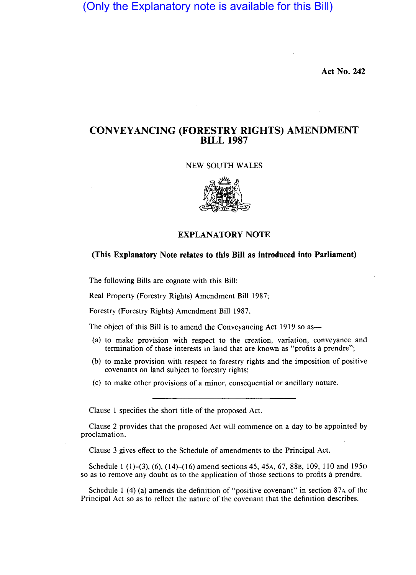(Only the Explanatory note is available for this Bill)

**Act No. 242** 

## **CONVEYANCING (FORESTRY RIGHTS) AMENDMENT BILL 1987**

NEW SOUTH WALES



#### **EXPLANATORY NOTE**

#### **(This Explanatory Note relates to this Bill as introduced into Parliament)**

The following Bills are cognate with this Bill:

Real Property (Forestry Rights) Amendment Bill 1987;

Forestry (Forestry Rights) Amendment Bill 1987.

The object of this Bill is to amend the Conveyancing Act 1919 so as—

- (a) to make provision with respect to the creation, variation, conveyance and termination of those interests in land that are known as "profits à prendre";
- (b) to make provision with respect to forestry rights and the imposition of positive covenants on land subject to forestry rights;
- (c) to make other provisions of a minor, consequential or ancillary nature.

Clause 1 specifies the short title of the proposed Act.

Clause 2 provides that the proposed Act will commence on a day to be appointed by proclamation.

Clause 3 gives effect to the Schedule of amendments to the Principal Act.

Schedule 1 (1)–(3), (6), (14)–(16) amend sections 45, 45A, 67, 88B, 109, 110 and 195D so as to remove any doubt as to the application of those sections to profits a prendre.

Schedule 1 (4) (a) amends the definition of "positive covenant" in section  $87A$  of the Principal Act so as to reflect the nature of the covenant that the definition describes.